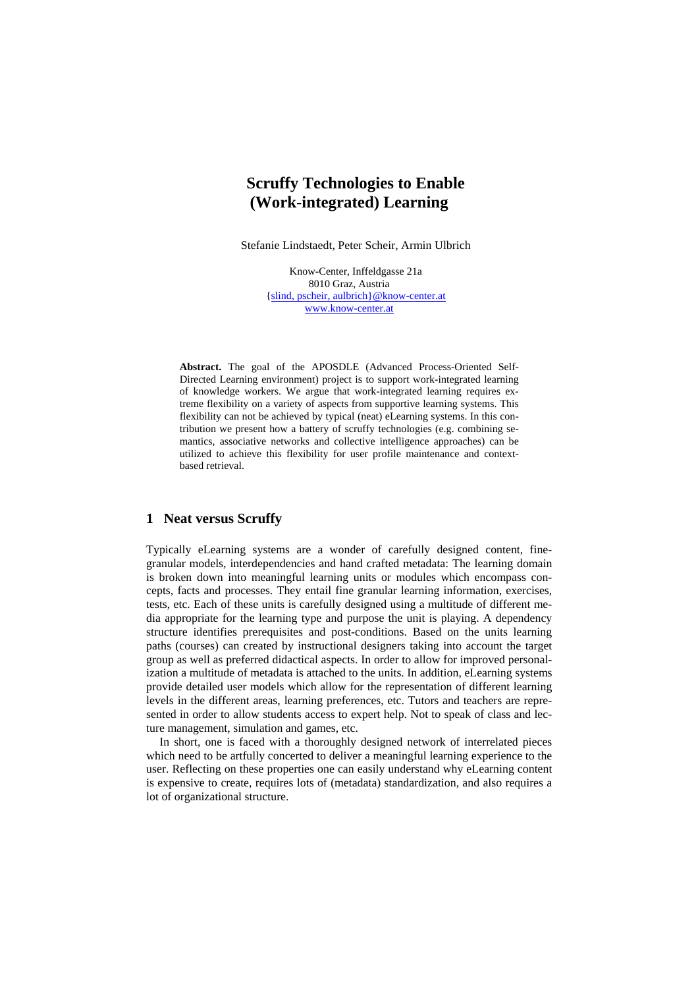# **Scruffy Technologies to Enable (Work-integrated) Learning**

Stefanie Lindstaedt, Peter Scheir, Armin Ulbrich

Know-Center, Inffeldgasse 21a 8010 Graz, Austria {slind, pscheir, aulbrich}@know-center.at www.know-center.at

**Abstract.** The goal of the APOSDLE (Advanced Process-Oriented Self-Directed Learning environment) project is to support work-integrated learning of knowledge workers. We argue that work-integrated learning requires extreme flexibility on a variety of aspects from supportive learning systems. This flexibility can not be achieved by typical (neat) eLearning systems. In this contribution we present how a battery of scruffy technologies (e.g. combining semantics, associative networks and collective intelligence approaches) can be utilized to achieve this flexibility for user profile maintenance and contextbased retrieval.

### **1 Neat versus Scruffy**

Typically eLearning systems are a wonder of carefully designed content, finegranular models, interdependencies and hand crafted metadata: The learning domain is broken down into meaningful learning units or modules which encompass concepts, facts and processes. They entail fine granular learning information, exercises, tests, etc. Each of these units is carefully designed using a multitude of different media appropriate for the learning type and purpose the unit is playing. A dependency structure identifies prerequisites and post-conditions. Based on the units learning paths (courses) can created by instructional designers taking into account the target group as well as preferred didactical aspects. In order to allow for improved personalization a multitude of metadata is attached to the units. In addition, eLearning systems provide detailed user models which allow for the representation of different learning levels in the different areas, learning preferences, etc. Tutors and teachers are represented in order to allow students access to expert help. Not to speak of class and lecture management, simulation and games, etc.

In short, one is faced with a thoroughly designed network of interrelated pieces which need to be artfully concerted to deliver a meaningful learning experience to the user. Reflecting on these properties one can easily understand why eLearning content is expensive to create, requires lots of (metadata) standardization, and also requires a lot of organizational structure.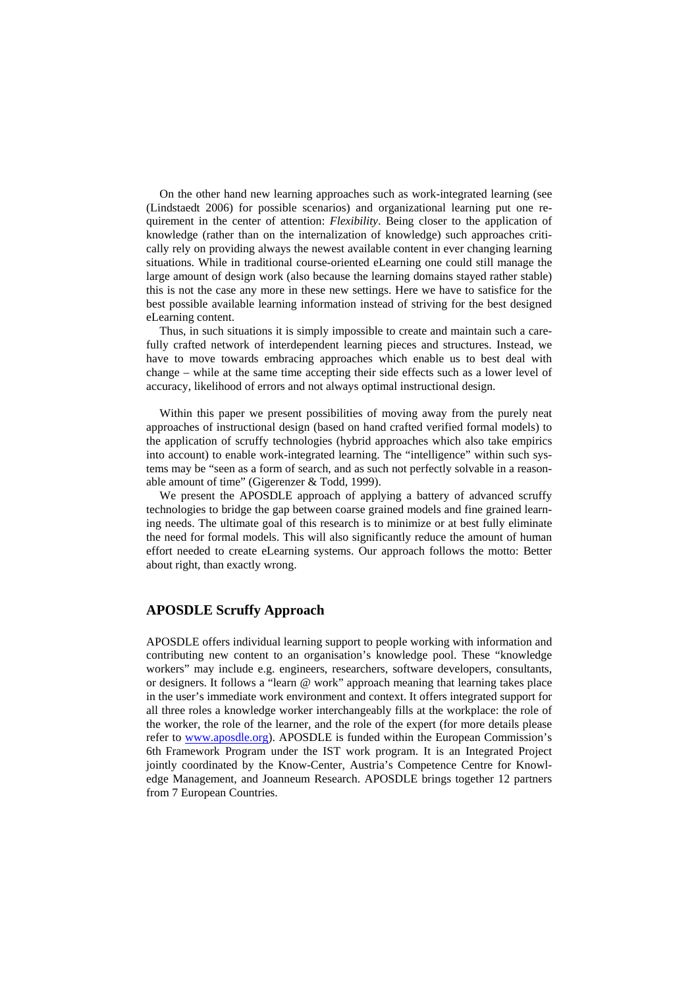On the other hand new learning approaches such as work-integrated learning (see (Lindstaedt 2006) for possible scenarios) and organizational learning put one requirement in the center of attention: *Flexibility*. Being closer to the application of knowledge (rather than on the internalization of knowledge) such approaches critically rely on providing always the newest available content in ever changing learning situations. While in traditional course-oriented eLearning one could still manage the large amount of design work (also because the learning domains stayed rather stable) this is not the case any more in these new settings. Here we have to satisfice for the best possible available learning information instead of striving for the best designed eLearning content.

Thus, in such situations it is simply impossible to create and maintain such a carefully crafted network of interdependent learning pieces and structures. Instead, we have to move towards embracing approaches which enable us to best deal with change – while at the same time accepting their side effects such as a lower level of accuracy, likelihood of errors and not always optimal instructional design.

Within this paper we present possibilities of moving away from the purely neat approaches of instructional design (based on hand crafted verified formal models) to the application of scruffy technologies (hybrid approaches which also take empirics into account) to enable work-integrated learning. The "intelligence" within such systems may be "seen as a form of search, and as such not perfectly solvable in a reasonable amount of time" (Gigerenzer & Todd, 1999).

We present the APOSDLE approach of applying a battery of advanced scruffy technologies to bridge the gap between coarse grained models and fine grained learning needs. The ultimate goal of this research is to minimize or at best fully eliminate the need for formal models. This will also significantly reduce the amount of human effort needed to create eLearning systems. Our approach follows the motto: Better about right, than exactly wrong.

## **APOSDLE Scruffy Approach**

APOSDLE offers individual learning support to people working with information and contributing new content to an organisation's knowledge pool. These "knowledge workers" may include e.g. engineers, researchers, software developers, consultants, or designers. It follows a "learn @ work" approach meaning that learning takes place in the user's immediate work environment and context. It offers integrated support for all three roles a knowledge worker interchangeably fills at the workplace: the role of the worker, the role of the learner, and the role of the expert (for more details please refer to www.aposdle.org). APOSDLE is funded within the European Commission's 6th Framework Program under the IST work program. It is an Integrated Project jointly coordinated by the Know-Center, Austria's Competence Centre for Knowledge Management, and Joanneum Research. APOSDLE brings together 12 partners from 7 European Countries.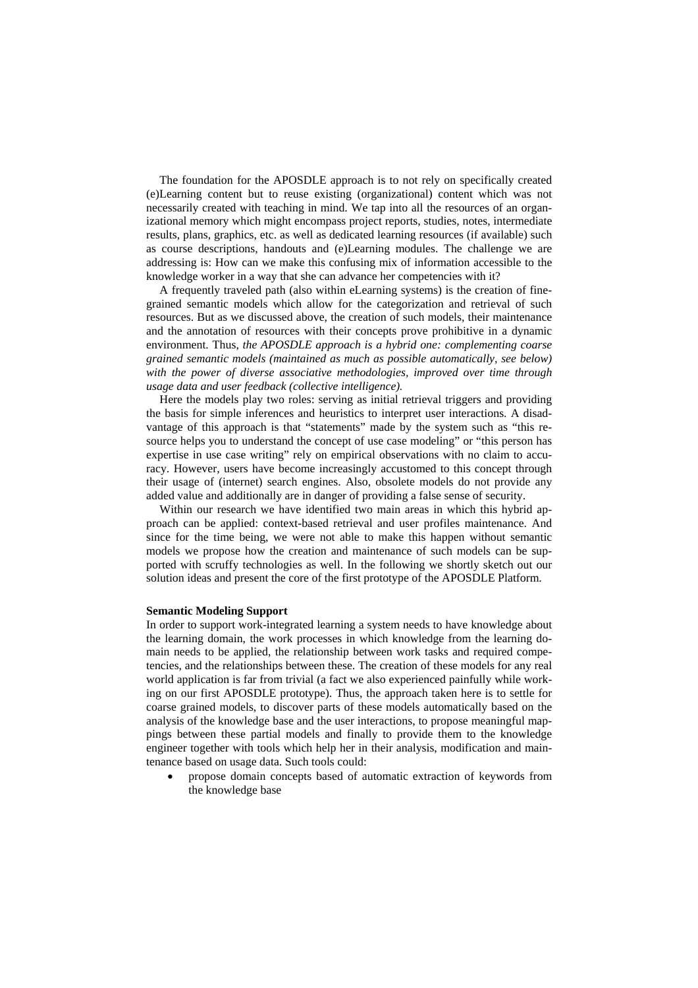The foundation for the APOSDLE approach is to not rely on specifically created (e)Learning content but to reuse existing (organizational) content which was not necessarily created with teaching in mind. We tap into all the resources of an organizational memory which might encompass project reports, studies, notes, intermediate results, plans, graphics, etc. as well as dedicated learning resources (if available) such as course descriptions, handouts and (e)Learning modules. The challenge we are addressing is: How can we make this confusing mix of information accessible to the knowledge worker in a way that she can advance her competencies with it?

A frequently traveled path (also within eLearning systems) is the creation of finegrained semantic models which allow for the categorization and retrieval of such resources. But as we discussed above, the creation of such models, their maintenance and the annotation of resources with their concepts prove prohibitive in a dynamic environment. Thus, *the APOSDLE approach is a hybrid one: complementing coarse grained semantic models (maintained as much as possible automatically, see below) with the power of diverse associative methodologies, improved over time through usage data and user feedback (collective intelligence).* 

Here the models play two roles: serving as initial retrieval triggers and providing the basis for simple inferences and heuristics to interpret user interactions. A disadvantage of this approach is that "statements" made by the system such as "this resource helps you to understand the concept of use case modeling" or "this person has expertise in use case writing" rely on empirical observations with no claim to accuracy. However, users have become increasingly accustomed to this concept through their usage of (internet) search engines. Also, obsolete models do not provide any added value and additionally are in danger of providing a false sense of security.

Within our research we have identified two main areas in which this hybrid approach can be applied: context-based retrieval and user profiles maintenance. And since for the time being, we were not able to make this happen without semantic models we propose how the creation and maintenance of such models can be supported with scruffy technologies as well. In the following we shortly sketch out our solution ideas and present the core of the first prototype of the APOSDLE Platform.

#### **Semantic Modeling Support**

In order to support work-integrated learning a system needs to have knowledge about the learning domain, the work processes in which knowledge from the learning domain needs to be applied, the relationship between work tasks and required competencies, and the relationships between these. The creation of these models for any real world application is far from trivial (a fact we also experienced painfully while working on our first APOSDLE prototype). Thus, the approach taken here is to settle for coarse grained models, to discover parts of these models automatically based on the analysis of the knowledge base and the user interactions, to propose meaningful mappings between these partial models and finally to provide them to the knowledge engineer together with tools which help her in their analysis, modification and maintenance based on usage data. Such tools could:

• propose domain concepts based of automatic extraction of keywords from the knowledge base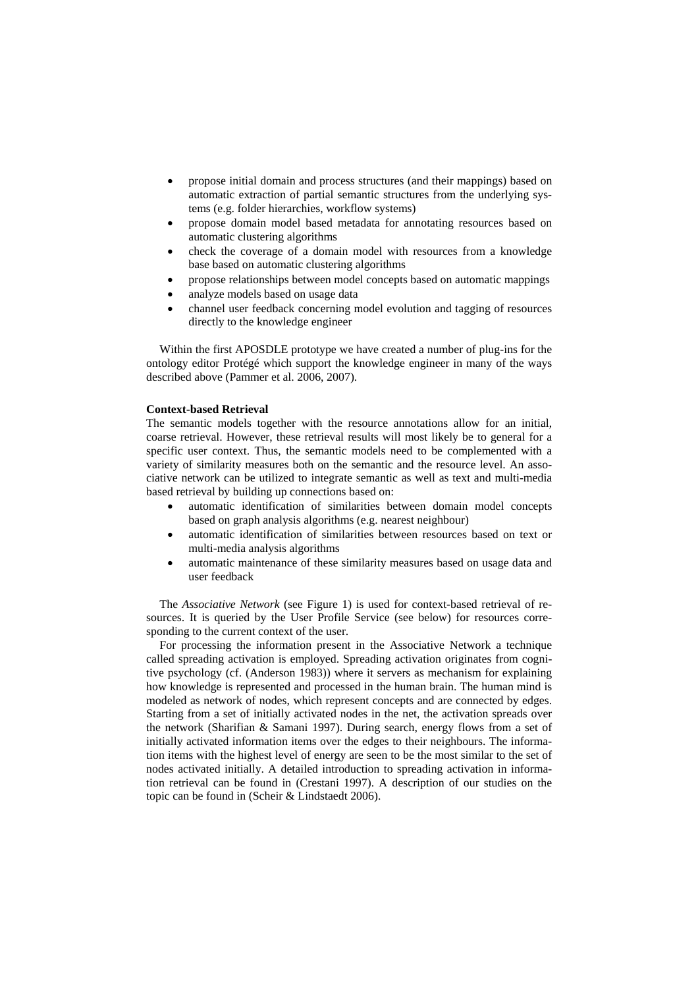- propose initial domain and process structures (and their mappings) based on automatic extraction of partial semantic structures from the underlying systems (e.g. folder hierarchies, workflow systems)
- propose domain model based metadata for annotating resources based on automatic clustering algorithms
- check the coverage of a domain model with resources from a knowledge base based on automatic clustering algorithms
- propose relationships between model concepts based on automatic mappings
- analyze models based on usage data
- channel user feedback concerning model evolution and tagging of resources directly to the knowledge engineer

Within the first APOSDLE prototype we have created a number of plug-ins for the ontology editor Protégé which support the knowledge engineer in many of the ways described above (Pammer et al. 2006, 2007).

#### **Context-based Retrieval**

The semantic models together with the resource annotations allow for an initial, coarse retrieval. However, these retrieval results will most likely be to general for a specific user context. Thus, the semantic models need to be complemented with a variety of similarity measures both on the semantic and the resource level. An associative network can be utilized to integrate semantic as well as text and multi-media based retrieval by building up connections based on:

- automatic identification of similarities between domain model concepts based on graph analysis algorithms (e.g. nearest neighbour)
- automatic identification of similarities between resources based on text or multi-media analysis algorithms
- automatic maintenance of these similarity measures based on usage data and user feedback

The *Associative Network* (see Figure 1) is used for context-based retrieval of resources. It is queried by the User Profile Service (see below) for resources corresponding to the current context of the user.

For processing the information present in the Associative Network a technique called spreading activation is employed. Spreading activation originates from cognitive psychology (cf. (Anderson 1983)) where it servers as mechanism for explaining how knowledge is represented and processed in the human brain. The human mind is modeled as network of nodes, which represent concepts and are connected by edges. Starting from a set of initially activated nodes in the net, the activation spreads over the network (Sharifian & Samani 1997). During search, energy flows from a set of initially activated information items over the edges to their neighbours. The information items with the highest level of energy are seen to be the most similar to the set of nodes activated initially. A detailed introduction to spreading activation in information retrieval can be found in (Crestani 1997). A description of our studies on the topic can be found in (Scheir & Lindstaedt 2006).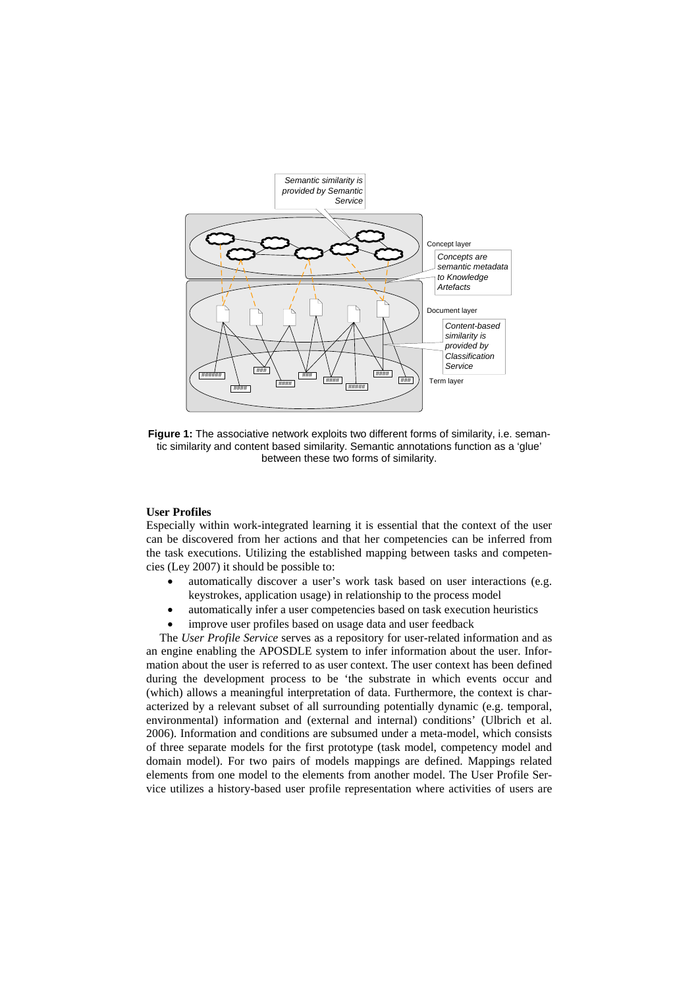

**Figure 1:** The associative network exploits two different forms of similarity, i.e. semantic similarity and content based similarity. Semantic annotations function as a 'glue' between these two forms of similarity.

#### **User Profiles**

Especially within work-integrated learning it is essential that the context of the user can be discovered from her actions and that her competencies can be inferred from the task executions. Utilizing the established mapping between tasks and competencies (Ley 2007) it should be possible to:

- automatically discover a user's work task based on user interactions (e.g. keystrokes, application usage) in relationship to the process model
- automatically infer a user competencies based on task execution heuristics
- improve user profiles based on usage data and user feedback

The *User Profile Service* serves as a repository for user-related information and as an engine enabling the APOSDLE system to infer information about the user. Information about the user is referred to as user context. The user context has been defined during the development process to be 'the substrate in which events occur and (which) allows a meaningful interpretation of data. Furthermore, the context is characterized by a relevant subset of all surrounding potentially dynamic (e.g. temporal, environmental) information and (external and internal) conditions' (Ulbrich et al. 2006). Information and conditions are subsumed under a meta-model, which consists of three separate models for the first prototype (task model, competency model and domain model). For two pairs of models mappings are defined. Mappings related elements from one model to the elements from another model. The User Profile Service utilizes a history-based user profile representation where activities of users are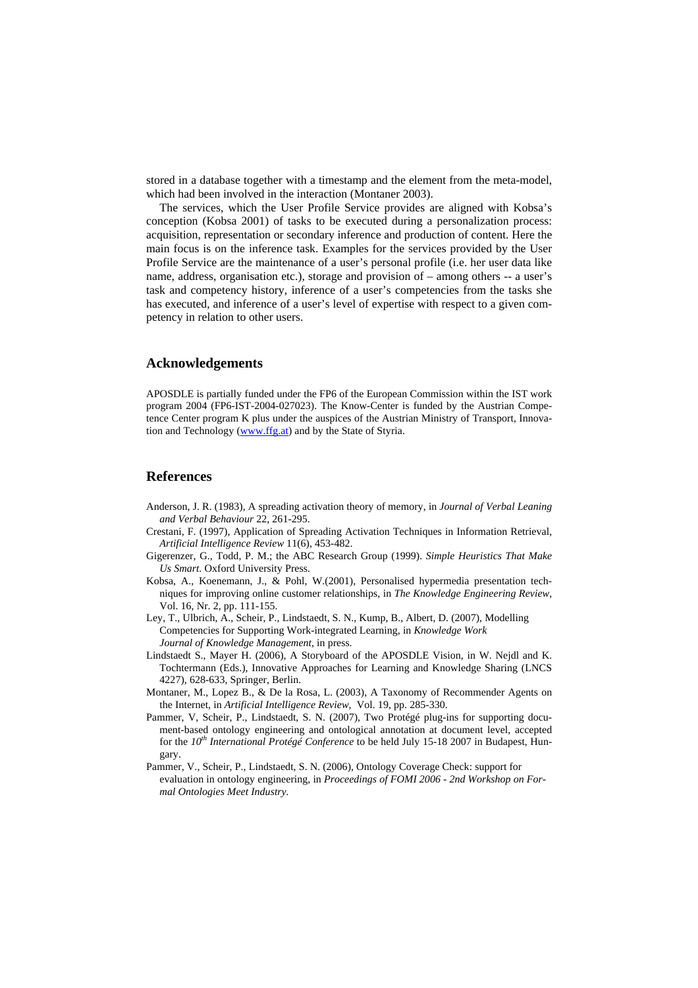stored in a database together with a timestamp and the element from the meta-model, which had been involved in the interaction (Montaner 2003).

The services, which the User Profile Service provides are aligned with Kobsa's conception (Kobsa 2001) of tasks to be executed during a personalization process: acquisition, representation or secondary inference and production of content. Here the main focus is on the inference task. Examples for the services provided by the User Profile Service are the maintenance of a user's personal profile (i.e. her user data like name, address, organisation etc.), storage and provision of – among others -- a user's task and competency history, inference of a user's competencies from the tasks she has executed, and inference of a user's level of expertise with respect to a given competency in relation to other users.

#### **Acknowledgements**

APOSDLE is partially funded under the FP6 of the European Commission within the IST work program 2004 (FP6-IST-2004-027023). The Know-Center is funded by the Austrian Competence Center program K plus under the auspices of the Austrian Ministry of Transport, Innovation and Technology (www.ffg.at) and by the State of Styria.

#### **References**

- Anderson, J. R. (1983), A spreading activation theory of memory, in *Journal of Verbal Leaning and Verbal Behaviour* 22, 261-295.
- Crestani, F. (1997), Application of Spreading Activation Techniques in Information Retrieval, *Artificial Intelligence Review* 11(6), 453-482.
- Gigerenzer, G., Todd, P. M.; the ABC Research Group (1999). *Simple Heuristics That Make Us Smart*. Oxford University Press.
- Kobsa, A., Koenemann, J., & Pohl, W.(2001), Personalised hypermedia presentation techniques for improving online customer relationships, in *The Knowledge Engineering Review*, Vol. 16, Nr. 2, pp. 111-155.
- Ley, T., Ulbrich, A., Scheir, P., Lindstaedt, S. N., Kump, B., Albert, D. (2007), Modelling Competencies for Supporting Work-integrated Learning, in *Knowledge Work Journal of Knowledge Management*, in press.
- Lindstaedt S., Mayer H. (2006), A Storyboard of the APOSDLE Vision, in W. Nejdl and K. Tochtermann (Eds.), Innovative Approaches for Learning and Knowledge Sharing (LNCS 4227), 628-633, Springer, Berlin.
- Montaner, M., Lopez B., & De la Rosa, L. (2003), A Taxonomy of Recommender Agents on the Internet, in *Artificial Intelligence Review*, Vol. 19, pp. 285-330.
- Pammer, V, Scheir, P., Lindstaedt, S. N. (2007), Two Protégé plug-ins for supporting document-based ontology engineering and ontological annotation at document level, accepted for the *10th International Protégé Conference* to be held July 15-18 2007 in Budapest, Hungary.
- Pammer, V., Scheir, P., Lindstaedt, S. N. (2006), Ontology Coverage Check: support for evaluation in ontology engineering, in *Proceedings of FOMI 2006 - 2nd Workshop on Formal Ontologies Meet Industry.*